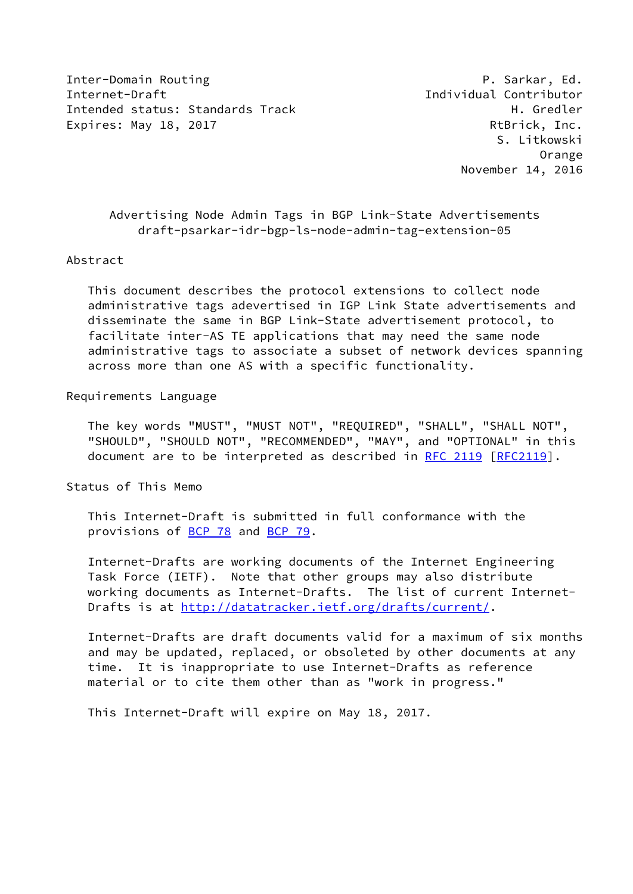Inter-Domain Routing P. Sarkar, Ed. Internet-Draft Individual Contributor Intended status: Standards Track H. Gredler Expires: May 18, 2017 **RtBrick, Inc.** 

 S. Litkowski Orange November 14, 2016

 Advertising Node Admin Tags in BGP Link-State Advertisements draft-psarkar-idr-bgp-ls-node-admin-tag-extension-05

#### Abstract

 This document describes the protocol extensions to collect node administrative tags adevertised in IGP Link State advertisements and disseminate the same in BGP Link-State advertisement protocol, to facilitate inter-AS TE applications that may need the same node administrative tags to associate a subset of network devices spanning across more than one AS with a specific functionality.

## Requirements Language

 The key words "MUST", "MUST NOT", "REQUIRED", "SHALL", "SHALL NOT", "SHOULD", "SHOULD NOT", "RECOMMENDED", "MAY", and "OPTIONAL" in this document are to be interpreted as described in [RFC 2119 \[RFC2119](https://datatracker.ietf.org/doc/pdf/rfc2119)].

Status of This Memo

 This Internet-Draft is submitted in full conformance with the provisions of [BCP 78](https://datatracker.ietf.org/doc/pdf/bcp78) and [BCP 79](https://datatracker.ietf.org/doc/pdf/bcp79).

 Internet-Drafts are working documents of the Internet Engineering Task Force (IETF). Note that other groups may also distribute working documents as Internet-Drafts. The list of current Internet- Drafts is at<http://datatracker.ietf.org/drafts/current/>.

 Internet-Drafts are draft documents valid for a maximum of six months and may be updated, replaced, or obsoleted by other documents at any time. It is inappropriate to use Internet-Drafts as reference material or to cite them other than as "work in progress."

This Internet-Draft will expire on May 18, 2017.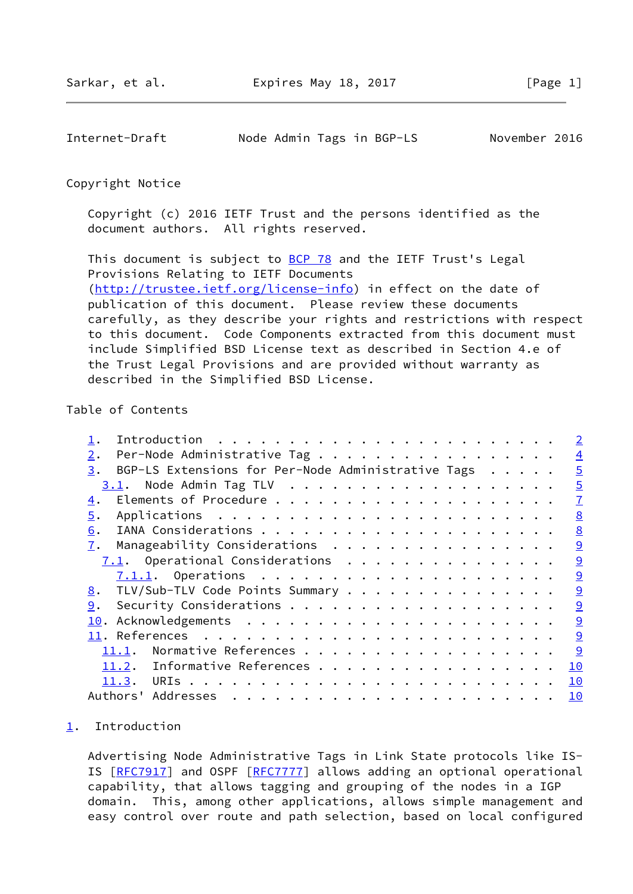<span id="page-1-1"></span>Internet-Draft Node Admin Tags in BGP-LS November 2016

#### Copyright Notice

 Copyright (c) 2016 IETF Trust and the persons identified as the document authors. All rights reserved.

This document is subject to **[BCP 78](https://datatracker.ietf.org/doc/pdf/bcp78)** and the IETF Trust's Legal Provisions Relating to IETF Documents [\(http://trustee.ietf.org/license-info](http://trustee.ietf.org/license-info)) in effect on the date of publication of this document. Please review these documents carefully, as they describe your rights and restrictions with respect to this document. Code Components extracted from this document must include Simplified BSD License text as described in Section 4.e of the Trust Legal Provisions and are provided without warranty as described in the Simplified BSD License.

# Table of Contents

|       | $\overline{2}$                                                                                                                                                                                                                            |
|-------|-------------------------------------------------------------------------------------------------------------------------------------------------------------------------------------------------------------------------------------------|
| 2.    | $\overline{4}$                                                                                                                                                                                                                            |
| 3.    | $\overline{5}$                                                                                                                                                                                                                            |
|       | $\overline{5}$                                                                                                                                                                                                                            |
| 4.    | $\overline{1}$                                                                                                                                                                                                                            |
| 5.    | 8                                                                                                                                                                                                                                         |
| 6.    | 8                                                                                                                                                                                                                                         |
| 7.    | 9                                                                                                                                                                                                                                         |
|       | 9                                                                                                                                                                                                                                         |
|       | $\overline{9}$                                                                                                                                                                                                                            |
| 8.    | 9                                                                                                                                                                                                                                         |
| 9.    | 9                                                                                                                                                                                                                                         |
|       | $\overline{9}$                                                                                                                                                                                                                            |
|       | 9                                                                                                                                                                                                                                         |
| 11.1. | 9                                                                                                                                                                                                                                         |
| 11.2. | 10                                                                                                                                                                                                                                        |
|       | 10                                                                                                                                                                                                                                        |
|       | 10                                                                                                                                                                                                                                        |
|       | Per-Node Administrative Tag<br>BGP-LS Extensions for Per-Node Administrative Tags<br>Manageability Considerations<br>7.1. Operational Considerations<br>TLV/Sub-TLV Code Points Summary<br>Normative References<br>Informative References |

#### <span id="page-1-0"></span>[1](#page-1-0). Introduction

 Advertising Node Administrative Tags in Link State protocols like IS- IS [[RFC7917\]](https://datatracker.ietf.org/doc/pdf/rfc7917) and OSPF [[RFC7777](https://datatracker.ietf.org/doc/pdf/rfc7777)] allows adding an optional operational capability, that allows tagging and grouping of the nodes in a IGP domain. This, among other applications, allows simple management and easy control over route and path selection, based on local configured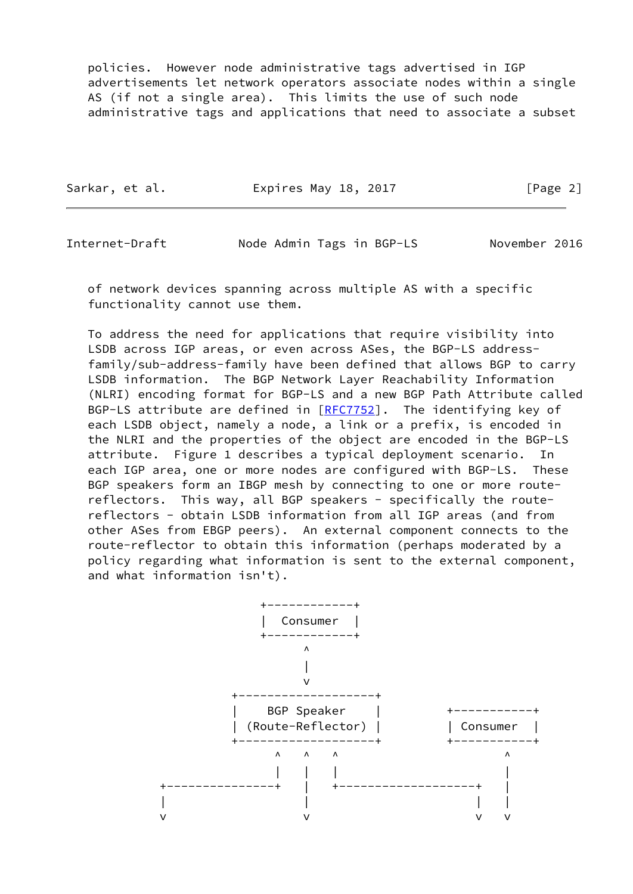policies. However node administrative tags advertised in IGP advertisements let network operators associate nodes within a single AS (if not a single area). This limits the use of such node administrative tags and applications that need to associate a subset

| Sarkar, et al. | Expires May 18, 2017 | [Page 2] |
|----------------|----------------------|----------|
|                |                      |          |

Internet-Draft Node Admin Tags in BGP-LS November 2016

 of network devices spanning across multiple AS with a specific functionality cannot use them.

 To address the need for applications that require visibility into LSDB across IGP areas, or even across ASes, the BGP-LS address family/sub-address-family have been defined that allows BGP to carry LSDB information. The BGP Network Layer Reachability Information (NLRI) encoding format for BGP-LS and a new BGP Path Attribute called BGP-LS attribute are defined in  $[REC7752]$ . The identifying key of each LSDB object, namely a node, a link or a prefix, is encoded in the NLRI and the properties of the object are encoded in the BGP-LS attribute. Figure 1 describes a typical deployment scenario. In each IGP area, one or more nodes are configured with BGP-LS. These BGP speakers form an IBGP mesh by connecting to one or more route reflectors. This way, all BGP speakers - specifically the route reflectors - obtain LSDB information from all IGP areas (and from other ASes from EBGP peers). An external component connects to the route-reflector to obtain this information (perhaps moderated by a policy regarding what information is sent to the external component, and what information isn't).

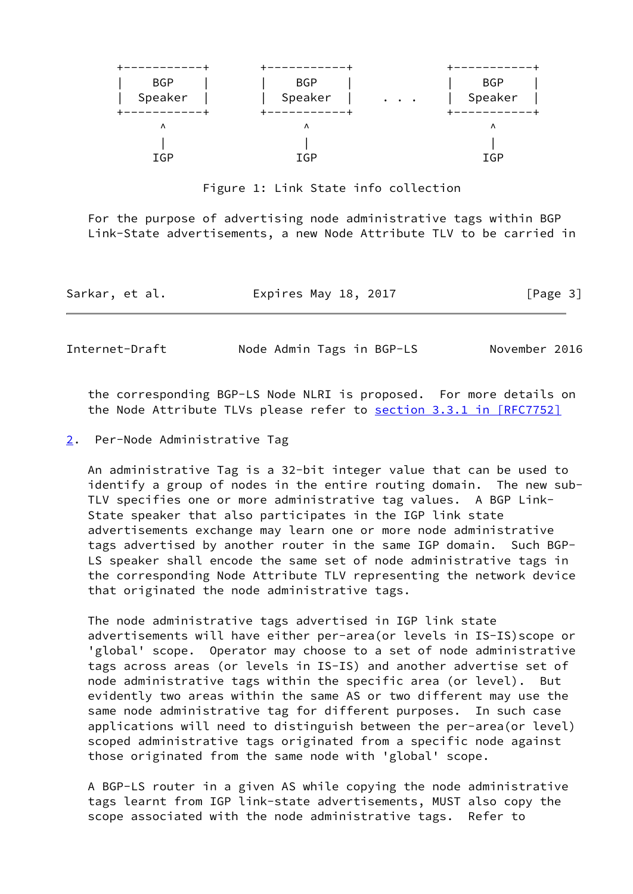| <b>BGP</b><br>Speaker | <b>BGP</b><br>Speaker | <b>BGP</b><br>Speaker<br>$\begin{array}{cccccccccc} \bullet & \bullet & \bullet & \bullet & \bullet \end{array}$ |
|-----------------------|-----------------------|------------------------------------------------------------------------------------------------------------------|
| Λ                     | Λ                     | Λ                                                                                                                |
|                       |                       |                                                                                                                  |
| IGP                   | IGP                   | IGP                                                                                                              |

Figure 1: Link State info collection

 For the purpose of advertising node administrative tags within BGP Link-State advertisements, a new Node Attribute TLV to be carried in

| Sarkar, et al. | Expires May 18, 2017 | [Page 3] |
|----------------|----------------------|----------|
|----------------|----------------------|----------|

<span id="page-3-1"></span>Internet-Draft Mode Admin Tags in BGP-LS November 2016

 the corresponding BGP-LS Node NLRI is proposed. For more details on the Node Attribute TLVs please refer to section [3.3.1 in \[RFC7752\]](https://datatracker.ietf.org/doc/pdf/rfc7752#section-3.3.1)

<span id="page-3-0"></span>[2](#page-3-0). Per-Node Administrative Tag

 An administrative Tag is a 32-bit integer value that can be used to identify a group of nodes in the entire routing domain. The new sub- TLV specifies one or more administrative tag values. A BGP Link- State speaker that also participates in the IGP link state advertisements exchange may learn one or more node administrative tags advertised by another router in the same IGP domain. Such BGP- LS speaker shall encode the same set of node administrative tags in the corresponding Node Attribute TLV representing the network device that originated the node administrative tags.

 The node administrative tags advertised in IGP link state advertisements will have either per-area(or levels in IS-IS)scope or 'global' scope. Operator may choose to a set of node administrative tags across areas (or levels in IS-IS) and another advertise set of node administrative tags within the specific area (or level). But evidently two areas within the same AS or two different may use the same node administrative tag for different purposes. In such case applications will need to distinguish between the per-area(or level) scoped administrative tags originated from a specific node against those originated from the same node with 'global' scope.

 A BGP-LS router in a given AS while copying the node administrative tags learnt from IGP link-state advertisements, MUST also copy the scope associated with the node administrative tags. Refer to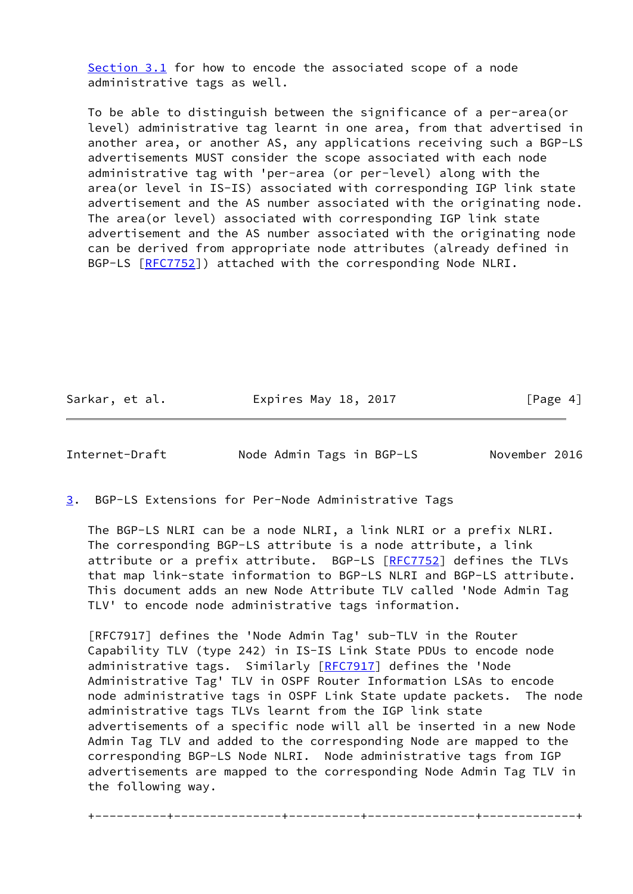[Section 3.1](#page-5-0) for how to encode the associated scope of a node administrative tags as well.

 To be able to distinguish between the significance of a per-area(or level) administrative tag learnt in one area, from that advertised in another area, or another AS, any applications receiving such a BGP-LS advertisements MUST consider the scope associated with each node administrative tag with 'per-area (or per-level) along with the area(or level in IS-IS) associated with corresponding IGP link state advertisement and the AS number associated with the originating node. The area(or level) associated with corresponding IGP link state advertisement and the AS number associated with the originating node can be derived from appropriate node attributes (already defined in BGP-LS [\[RFC7752](https://datatracker.ietf.org/doc/pdf/rfc7752)]) attached with the corresponding Node NLRI.

Sarkar, et al. **Expires May 18, 2017** [Page 4]

<span id="page-4-1"></span>Internet-Draft Node Admin Tags in BGP-LS November 2016

<span id="page-4-0"></span>[3](#page-4-0). BGP-LS Extensions for Per-Node Administrative Tags

 The BGP-LS NLRI can be a node NLRI, a link NLRI or a prefix NLRI. The corresponding BGP-LS attribute is a node attribute, a link attribute or a prefix attribute. BGP-LS [\[RFC7752](https://datatracker.ietf.org/doc/pdf/rfc7752)] defines the TLVs that map link-state information to BGP-LS NLRI and BGP-LS attribute. This document adds an new Node Attribute TLV called 'Node Admin Tag TLV' to encode node administrative tags information.

 [RFC7917] defines the 'Node Admin Tag' sub-TLV in the Router Capability TLV (type 242) in IS-IS Link State PDUs to encode node administrative tags. Similarly [\[RFC7917](https://datatracker.ietf.org/doc/pdf/rfc7917)] defines the 'Node Administrative Tag' TLV in OSPF Router Information LSAs to encode node administrative tags in OSPF Link State update packets. The node administrative tags TLVs learnt from the IGP link state advertisements of a specific node will all be inserted in a new Node Admin Tag TLV and added to the corresponding Node are mapped to the corresponding BGP-LS Node NLRI. Node administrative tags from IGP advertisements are mapped to the corresponding Node Admin Tag TLV in the following way.

+----------+---------------+----------+---------------+-------------+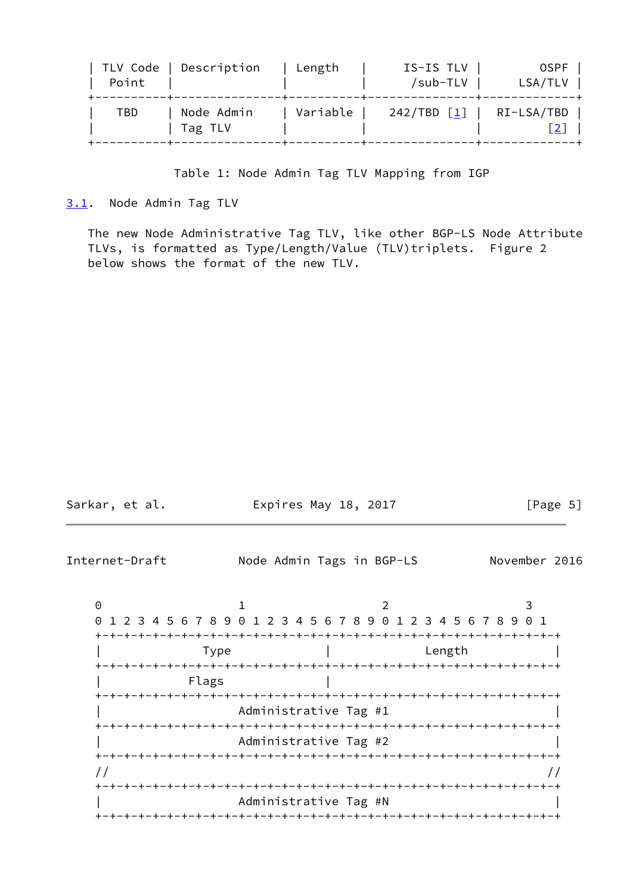| Point | TLV Code   Description | Length   | IS-IS TLV  <br>/sub-TLV | 0SPF<br>LSA/TLV                                  |
|-------|------------------------|----------|-------------------------|--------------------------------------------------|
| TBD   | Node Admin<br>Tag TLV  | Variable |                         | 242/TBD $\lceil \frac{1}{2} \rceil$   RI-LSA/TBD |

## Table 1: Node Admin Tag TLV Mapping from IGP

<span id="page-5-0"></span>[3.1](#page-5-0). Node Admin Tag TLV

 The new Node Administrative Tag TLV, like other BGP-LS Node Attribute TLVs, is formatted as Type/Length/Value (TLV)triplets. Figure 2 below shows the format of the new TLV.

| Internet-Draft                                            | Node Admin Tags in BGP-LS<br>November 2016                                         |  |
|-----------------------------------------------------------|------------------------------------------------------------------------------------|--|
| $\Theta$<br>$\Theta$<br>Type<br>Flags                     | 3<br>2<br>1 2 3 4 5 6 7 8 9 0 1 2 3 4 5 6 7 8 9 0 1 2 3 4 5 6 7 8 9 0 1<br>Length  |  |
| -+-+-+-+-+-+-+-+-+-+-+-+-                                 | Administrative Tag #1<br>Administrative Tag #2<br>-+-+-+-+-+-+-+-+-+-+-+-+-+-+-+-+ |  |
| $\prime\prime$<br>+-+-+-+-+-+-+-+-+-+<br>-+-+-+-+-+-+-+-+ | -+-+-+-+-+-+-+-+-+-+-+-+-<br>Administrative Tag #N<br>-+-+-+-+-+-+-+-+-+-+-+-+-+-  |  |

Sarkar, et al. **Expires May 18, 2017** [Page 5]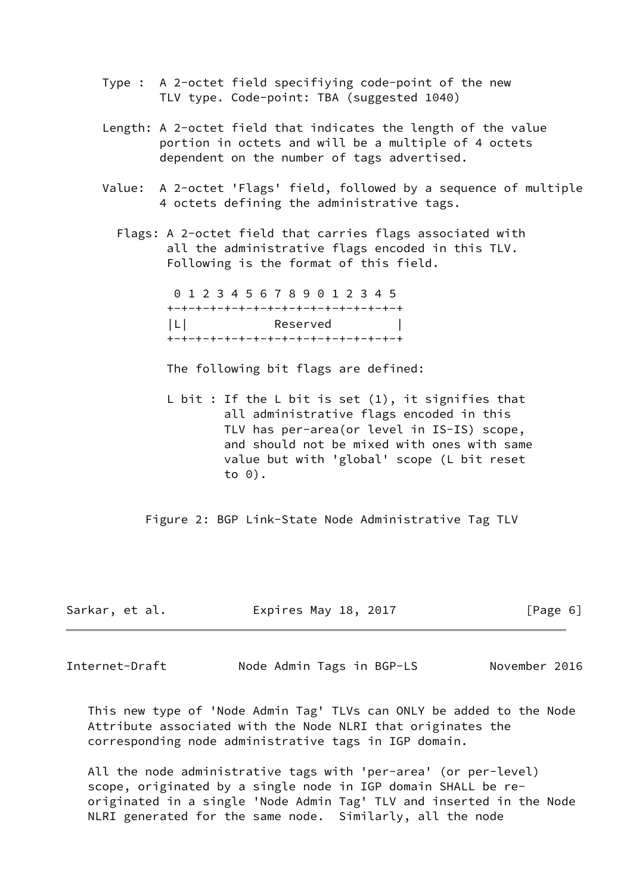- Type : A 2-octet field specifiying code-point of the new TLV type. Code-point: TBA (suggested 1040)
- Length: A 2-octet field that indicates the length of the value portion in octets and will be a multiple of 4 octets dependent on the number of tags advertised.
- Value: A 2-octet 'Flags' field, followed by a sequence of multiple 4 octets defining the administrative tags.

 Flags: A 2-octet field that carries flags associated with all the administrative flags encoded in this TLV. Following is the format of this field.

> 0 1 2 3 4 5 6 7 8 9 0 1 2 3 4 5 +-+-+-+-+-+-+-+-+-+-+-+-+-+-+-+-+ |L| Reserved | +-+-+-+-+-+-+-+-+-+-+-+-+-+-+-+-+

The following bit flags are defined:

L bit : If the L bit is set  $(1)$ , it signifies that all administrative flags encoded in this TLV has per-area(or level in IS-IS) scope, and should not be mixed with ones with same value but with 'global' scope (L bit reset to 0).

Figure 2: BGP Link-State Node Administrative Tag TLV

| Sarkar, et al. | Expires May 18, 2017 | [Page 6] |
|----------------|----------------------|----------|
|----------------|----------------------|----------|

<span id="page-6-0"></span>Internet-Draft Node Admin Tags in BGP-LS November 2016

 This new type of 'Node Admin Tag' TLVs can ONLY be added to the Node Attribute associated with the Node NLRI that originates the corresponding node administrative tags in IGP domain.

 All the node administrative tags with 'per-area' (or per-level) scope, originated by a single node in IGP domain SHALL be re originated in a single 'Node Admin Tag' TLV and inserted in the Node NLRI generated for the same node. Similarly, all the node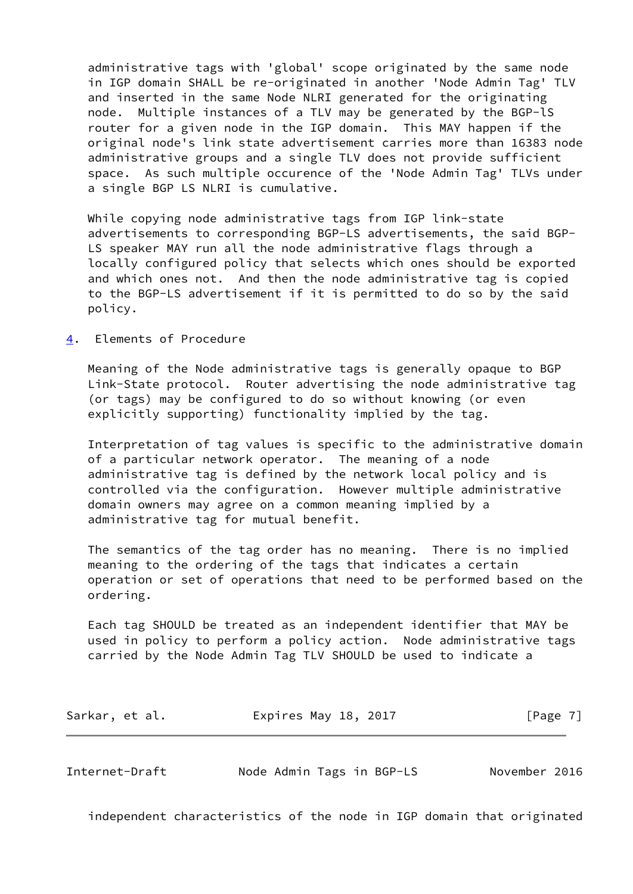administrative tags with 'global' scope originated by the same node in IGP domain SHALL be re-originated in another 'Node Admin Tag' TLV and inserted in the same Node NLRI generated for the originating node. Multiple instances of a TLV may be generated by the BGP-lS router for a given node in the IGP domain. This MAY happen if the original node's link state advertisement carries more than 16383 node administrative groups and a single TLV does not provide sufficient space. As such multiple occurence of the 'Node Admin Tag' TLVs under a single BGP LS NLRI is cumulative.

 While copying node administrative tags from IGP link-state advertisements to corresponding BGP-LS advertisements, the said BGP- LS speaker MAY run all the node administrative flags through a locally configured policy that selects which ones should be exported and which ones not. And then the node administrative tag is copied to the BGP-LS advertisement if it is permitted to do so by the said policy.

<span id="page-7-0"></span>[4](#page-7-0). Elements of Procedure

 Meaning of the Node administrative tags is generally opaque to BGP Link-State protocol. Router advertising the node administrative tag (or tags) may be configured to do so without knowing (or even explicitly supporting) functionality implied by the tag.

 Interpretation of tag values is specific to the administrative domain of a particular network operator. The meaning of a node administrative tag is defined by the network local policy and is controlled via the configuration. However multiple administrative domain owners may agree on a common meaning implied by a administrative tag for mutual benefit.

 The semantics of the tag order has no meaning. There is no implied meaning to the ordering of the tags that indicates a certain operation or set of operations that need to be performed based on the ordering.

 Each tag SHOULD be treated as an independent identifier that MAY be used in policy to perform a policy action. Node administrative tags carried by the Node Admin Tag TLV SHOULD be used to indicate a

| Sarkar, et al. | Expires May 18, 2017 | [Page 7] |
|----------------|----------------------|----------|
|----------------|----------------------|----------|

<span id="page-7-1"></span>Internet-Draft Node Admin Tags in BGP-LS November 2016

independent characteristics of the node in IGP domain that originated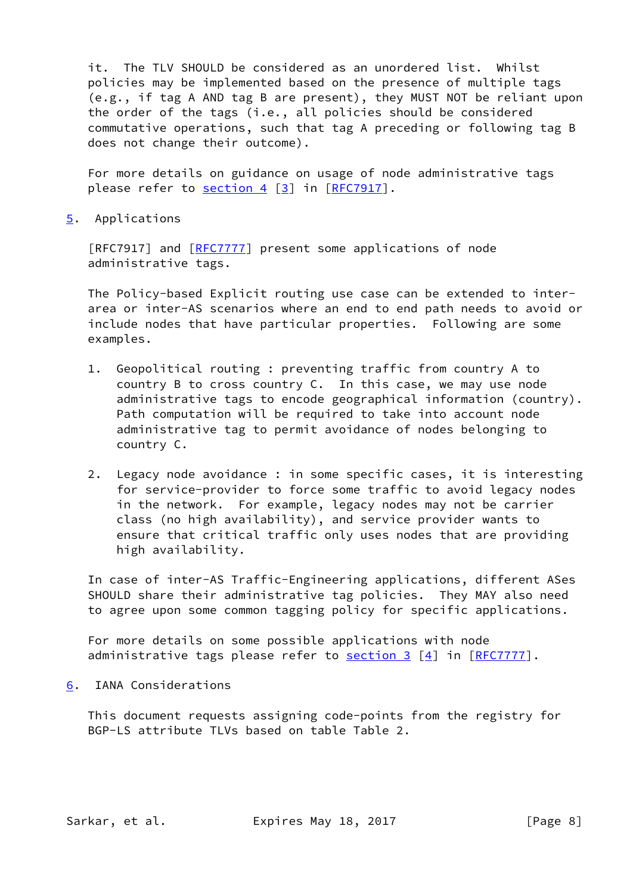it. The TLV SHOULD be considered as an unordered list. Whilst policies may be implemented based on the presence of multiple tags (e.g., if tag A AND tag B are present), they MUST NOT be reliant upon the order of the tags (i.e., all policies should be considered commutative operations, such that tag A preceding or following tag B does not change their outcome).

 For more details on guidance on usage of node administrative tags please refer to [section 4](#page-7-0) [[3\]](#page-11-0) in [\[RFC7917](https://datatracker.ietf.org/doc/pdf/rfc7917)].

<span id="page-8-0"></span>[5](#page-8-0). Applications

[RFC7917] and [[RFC7777](https://datatracker.ietf.org/doc/pdf/rfc7777)] present some applications of node administrative tags.

 The Policy-based Explicit routing use case can be extended to inter area or inter-AS scenarios where an end to end path needs to avoid or include nodes that have particular properties. Following are some examples.

- 1. Geopolitical routing : preventing traffic from country A to country B to cross country C. In this case, we may use node administrative tags to encode geographical information (country). Path computation will be required to take into account node administrative tag to permit avoidance of nodes belonging to country C.
- 2. Legacy node avoidance : in some specific cases, it is interesting for service-provider to force some traffic to avoid legacy nodes in the network. For example, legacy nodes may not be carrier class (no high availability), and service provider wants to ensure that critical traffic only uses nodes that are providing high availability.

 In case of inter-AS Traffic-Engineering applications, different ASes SHOULD share their administrative tag policies. They MAY also need to agree upon some common tagging policy for specific applications.

 For more details on some possible applications with node administrative tags please refer to **section 3** [[4\]](#page-11-1) in [\[RFC7777](https://datatracker.ietf.org/doc/pdf/rfc7777)].

<span id="page-8-1"></span>[6](#page-8-1). IANA Considerations

 This document requests assigning code-points from the registry for BGP-LS attribute TLVs based on table Table 2.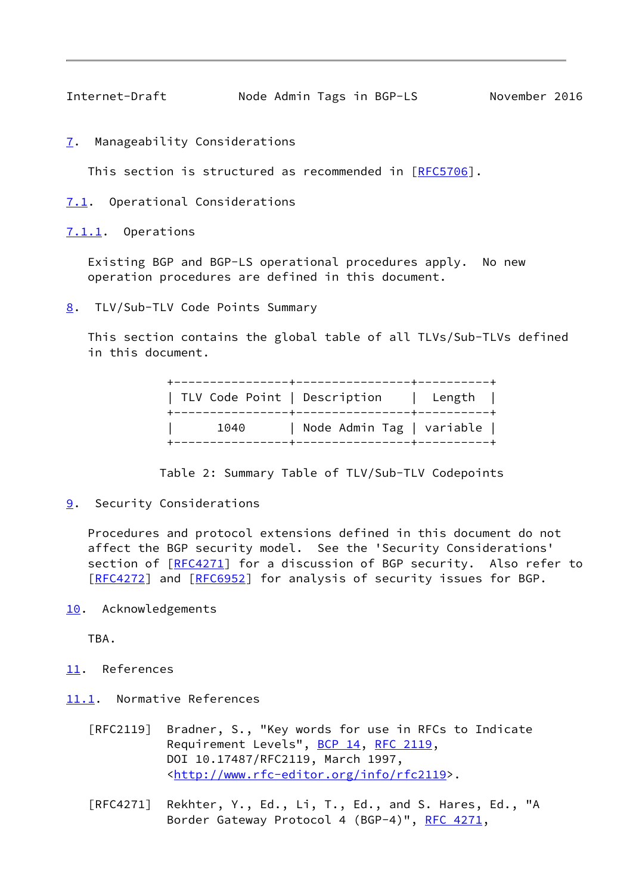<span id="page-9-1"></span>Internet-Draft Node Admin Tags in BGP-LS November 2016

<span id="page-9-0"></span>[7](#page-9-0). Manageability Considerations

This section is structured as recommended in [\[RFC5706](https://datatracker.ietf.org/doc/pdf/rfc5706)].

<span id="page-9-2"></span>[7.1](#page-9-2). Operational Considerations

<span id="page-9-3"></span>[7.1.1](#page-9-3). Operations

 Existing BGP and BGP-LS operational procedures apply. No new operation procedures are defined in this document.

<span id="page-9-4"></span>[8](#page-9-4). TLV/Sub-TLV Code Points Summary

 This section contains the global table of all TLVs/Sub-TLVs defined in this document.

|      | TLV Code Point   Description   Length |  |
|------|---------------------------------------|--|
| 1040 | Node Admin Tag   variable             |  |

Table 2: Summary Table of TLV/Sub-TLV Codepoints

<span id="page-9-5"></span>[9](#page-9-5). Security Considerations

 Procedures and protocol extensions defined in this document do not affect the BGP security model. See the 'Security Considerations' section of [[RFC4271\]](https://datatracker.ietf.org/doc/pdf/rfc4271) for a discussion of BGP security. Also refer to [\[RFC4272](https://datatracker.ietf.org/doc/pdf/rfc4272)] and [[RFC6952](https://datatracker.ietf.org/doc/pdf/rfc6952)] for analysis of security issues for BGP.

<span id="page-9-6"></span>[10.](#page-9-6) Acknowledgements

TBA.

- <span id="page-9-7"></span>[11.](#page-9-7) References
- <span id="page-9-8"></span>[11.1](#page-9-8). Normative References
	- [RFC2119] Bradner, S., "Key words for use in RFCs to Indicate Requirement Levels", [BCP 14](https://datatracker.ietf.org/doc/pdf/bcp14), [RFC 2119](https://datatracker.ietf.org/doc/pdf/rfc2119), DOI 10.17487/RFC2119, March 1997, <<http://www.rfc-editor.org/info/rfc2119>>.
	- [RFC4271] Rekhter, Y., Ed., Li, T., Ed., and S. Hares, Ed., "A Border Gateway Protocol 4 (BGP-4)", [RFC 4271,](https://datatracker.ietf.org/doc/pdf/rfc4271)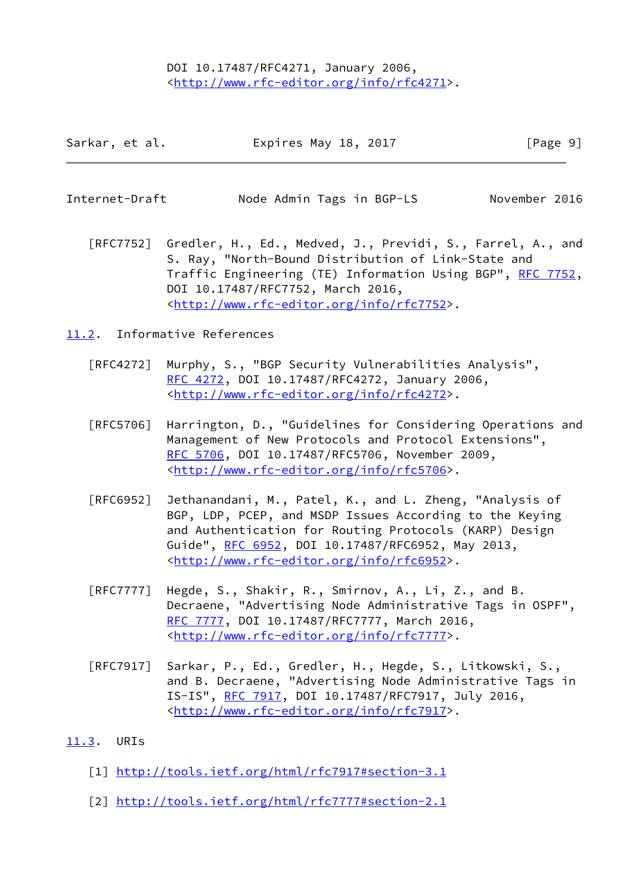DOI 10.17487/RFC4271, January 2006, <<http://www.rfc-editor.org/info/rfc4271>>.

| Sarkar, et al. | Expires May 18, 2017 | [Page 9] |
|----------------|----------------------|----------|
|----------------|----------------------|----------|

<span id="page-10-1"></span>

| Internet-Draft | Node Admin Tags in BGP-LS | November 2016 |
|----------------|---------------------------|---------------|
|----------------|---------------------------|---------------|

 [RFC7752] Gredler, H., Ed., Medved, J., Previdi, S., Farrel, A., and S. Ray, "North-Bound Distribution of Link-State and Traffic Engineering (TE) Information Using BGP", [RFC 7752,](https://datatracker.ietf.org/doc/pdf/rfc7752) DOI 10.17487/RFC7752, March 2016, <<http://www.rfc-editor.org/info/rfc7752>>.

<span id="page-10-0"></span>[11.2](#page-10-0). Informative References

- [RFC4272] Murphy, S., "BGP Security Vulnerabilities Analysis", [RFC 4272,](https://datatracker.ietf.org/doc/pdf/rfc4272) DOI 10.17487/RFC4272, January 2006, <<http://www.rfc-editor.org/info/rfc4272>>.
- [RFC5706] Harrington, D., "Guidelines for Considering Operations and Management of New Protocols and Protocol Extensions", [RFC 5706,](https://datatracker.ietf.org/doc/pdf/rfc5706) DOI 10.17487/RFC5706, November 2009, <<http://www.rfc-editor.org/info/rfc5706>>.
- [RFC6952] Jethanandani, M., Patel, K., and L. Zheng, "Analysis of BGP, LDP, PCEP, and MSDP Issues According to the Keying and Authentication for Routing Protocols (KARP) Design Guide", [RFC 6952,](https://datatracker.ietf.org/doc/pdf/rfc6952) DOI 10.17487/RFC6952, May 2013, <<http://www.rfc-editor.org/info/rfc6952>>.
- [RFC7777] Hegde, S., Shakir, R., Smirnov, A., Li, Z., and B. Decraene, "Advertising Node Administrative Tags in OSPF", [RFC 7777,](https://datatracker.ietf.org/doc/pdf/rfc7777) DOI 10.17487/RFC7777, March 2016, <<http://www.rfc-editor.org/info/rfc7777>>.
- [RFC7917] Sarkar, P., Ed., Gredler, H., Hegde, S., Litkowski, S., and B. Decraene, "Advertising Node Administrative Tags in IS-IS", [RFC 7917,](https://datatracker.ietf.org/doc/pdf/rfc7917) DOI 10.17487/RFC7917, July 2016, <<http://www.rfc-editor.org/info/rfc7917>>.

### <span id="page-10-2"></span>[11.3](#page-10-2). URIs

- <span id="page-10-3"></span>[1] <http://tools.ietf.org/html/rfc7917#section-3.1>
- <span id="page-10-4"></span>[2] <http://tools.ietf.org/html/rfc7777#section-2.1>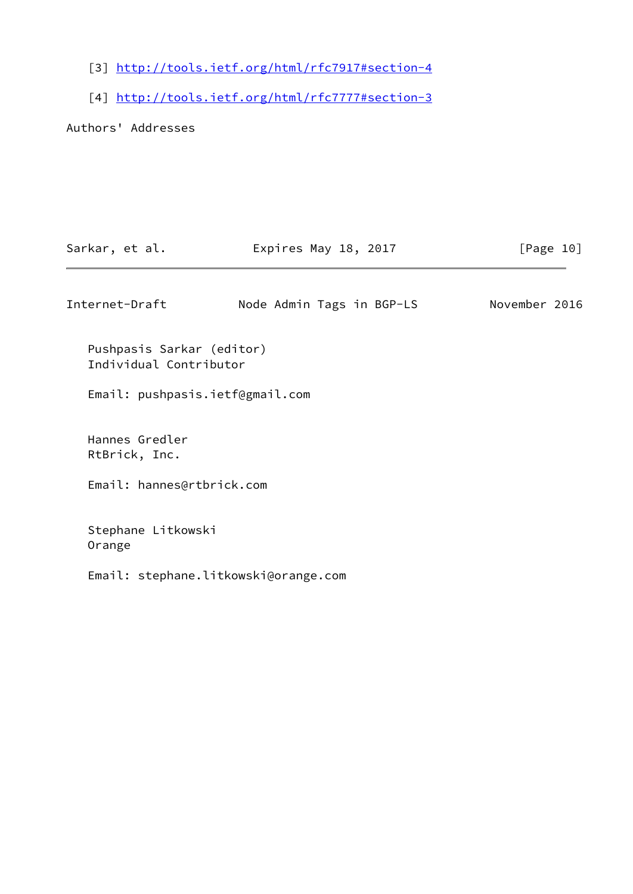- <span id="page-11-0"></span>[3] <http://tools.ietf.org/html/rfc7917#section-4>
- <span id="page-11-1"></span>[4] <http://tools.ietf.org/html/rfc7777#section-3>

Authors' Addresses

| Internet-Draft                                      | Node Admin Tags in BGP-LS            | November 2016 |
|-----------------------------------------------------|--------------------------------------|---------------|
| Pushpasis Sarkar (editor)<br>Individual Contributor |                                      |               |
| Email: pushpasis.ietf@gmail.com                     |                                      |               |
| Hannes Gredler<br>RtBrick, Inc.                     |                                      |               |
| Email: hannes@rtbrick.com                           |                                      |               |
| Stephane Litkowski<br>Orange                        |                                      |               |
|                                                     | Email: stephane.litkowski@orange.com |               |
|                                                     |                                      |               |

Sarkar, et al. **Expires May 18, 2017** [Page 10]